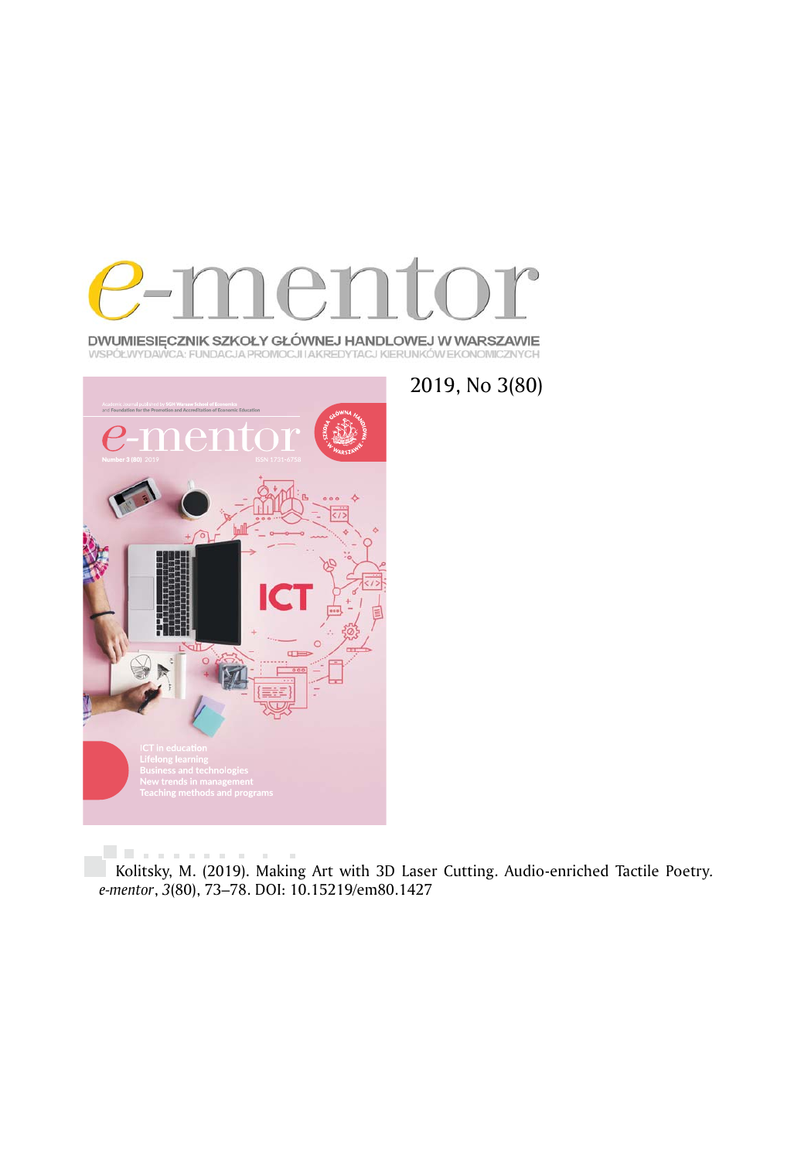

**DWUMIESIĘCZNIK SZKOŁY GŁÓWNEJ HANDLOWEJ W WARSZAWIE**<br>WSPÓŁWYDAWCA: FUNDACJA PROMOCJI IAKREDYTACJ KIERUNKÓW EKONOMICZNYCH



2019, No 3(80)

**Linear control**  $\bar{a}$ Kolitsky, M. (2019). Making Art with 3D Laser Cutting. Audio-enriched Tactile Poetry*. e-mentor*, *3*(80), 73–78. DOI: 10.15219/em80.1427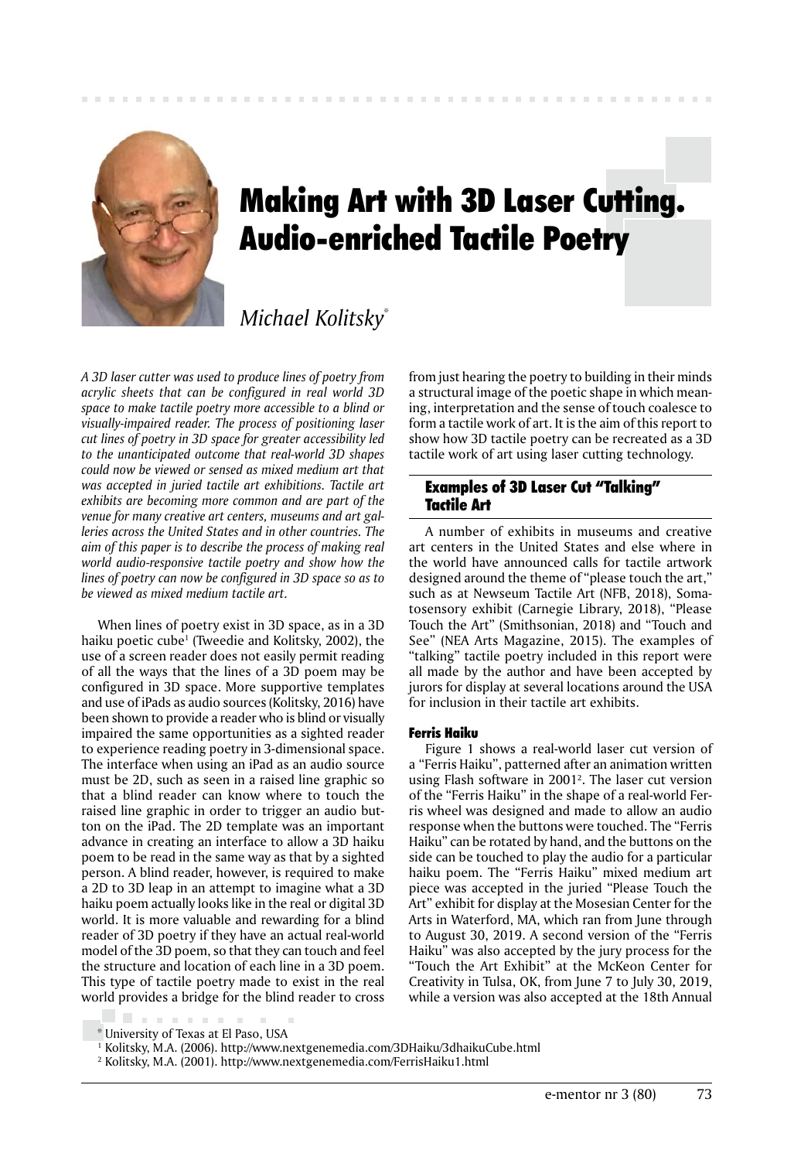

# Making Art with 3D Laser Cutting. Audio-enriched Tactile Poetry

# *Michael Kolitsky*\*

*A 3D laser cutter was used to produce lines of poetry from acrylic sheets that can be configured in real world 3D space to make tactile poetry more accessible to a blind or visually-impaired reader. The process of positioning laser cut lines of poetry in 3D space for greater accessibility led to the unanticipated outcome that real-world 3D shapes could now be viewed or sensed as mixed medium art that was accepted in juried tactile art exhibitions. Tactile art exhibits are becoming more common and are part of the venue for many creative art centers, museums and art galleries across the United States and in other countries. The aim of this paper is to describe the process of making real world audio-responsive tactile poetry and show how the lines of poetry can now be configured in 3D space so as to be viewed as mixed medium tactile art.*

When lines of poetry exist in 3D space, as in a 3D haiku poetic cube1 (Tweedie and Kolitsky, 2002), the use of a screen reader does not easily permit reading of all the ways that the lines of a 3D poem may be configured in 3D space. More supportive templates and use of iPads as audio sources (Kolitsky, 2016) have been shown to provide a reader who is blind or visually impaired the same opportunities as a sighted reader to experience reading poetry in 3-dimensional space. The interface when using an iPad as an audio source must be 2D, such as seen in a raised line graphic so that a blind reader can know where to touch the raised line graphic in order to trigger an audio button on the iPad. The 2D template was an important advance in creating an interface to allow a 3D haiku poem to be read in the same way as that by a sighted person. A blind reader, however, is required to make a 2D to 3D leap in an attempt to imagine what a 3D haiku poem actually looks like in the real or digital 3D world. It is more valuable and rewarding for a blind reader of 3D poetry if they have an actual real-world model of the 3D poem, so that they can touch and feel the structure and location of each line in a 3D poem. This type of tactile poetry made to exist in the real world provides a bridge for the blind reader to cross

from just hearing the poetry to building in their minds a structural image of the poetic shape in which meaning, interpretation and the sense of touch coalesce to form a tactile work of art. It is the aim of this report to show how 3D tactile poetry can be recreated as a 3D tactile work of art using laser cutting technology.

# Examples of 3D Laser Cut "Talking" Tactile Art

A number of exhibits in museums and creative art centers in the United States and else where in the world have announced calls for tactile artwork designed around the theme of "please touch the art," such as at Newseum Tactile Art (NFB, 2018), Somatosensory exhibit (Carnegie Library, 2018), "Please Touch the Art" (Smithsonian, 2018) and "Touch and See" (NEA Arts Magazine, 2015). The examples of "talking" tactile poetry included in this report were all made by the author and have been accepted by jurors for display at several locations around the USA for inclusion in their tactile art exhibits.

#### Ferris Haiku

Figure 1 shows a real-world laser cut version of a "Ferris Haiku", patterned after an animation written using Flash software in 20012 . The laser cut version of the "Ferris Haiku" in the shape of a real-world Ferris wheel was designed and made to allow an audio response when the buttons were touched. The "Ferris Haiku" can be rotated by hand, and the buttons on the side can be touched to play the audio for a particular haiku poem. The "Ferris Haiku" mixed medium art piece was accepted in the juried "Please Touch the Art" exhibit for display at the Mosesian Center for the Arts in Waterford, MA, which ran from June through to August 30, 2019. A second version of the "Ferris Haiku" was also accepted by the jury process for the "Touch the Art Exhibit" at the McKeon Center for Creativity in Tulsa, OK, from June 7 to July 30, 2019, while a version was also accepted at the 18th Annual

**CONTRACTOR** 

<sup>\*</sup> University of Texas at El Paso, USA

<sup>&</sup>lt;sup>1</sup> Kolitsky, M.A. (2006). http://www.nextgenemedia.com/3DHaiku/3dhaikuCube.html

<sup>2</sup> Kolitsky, M.A. (2001). http://www.nextgenemedia.com/FerrisHaiku1.html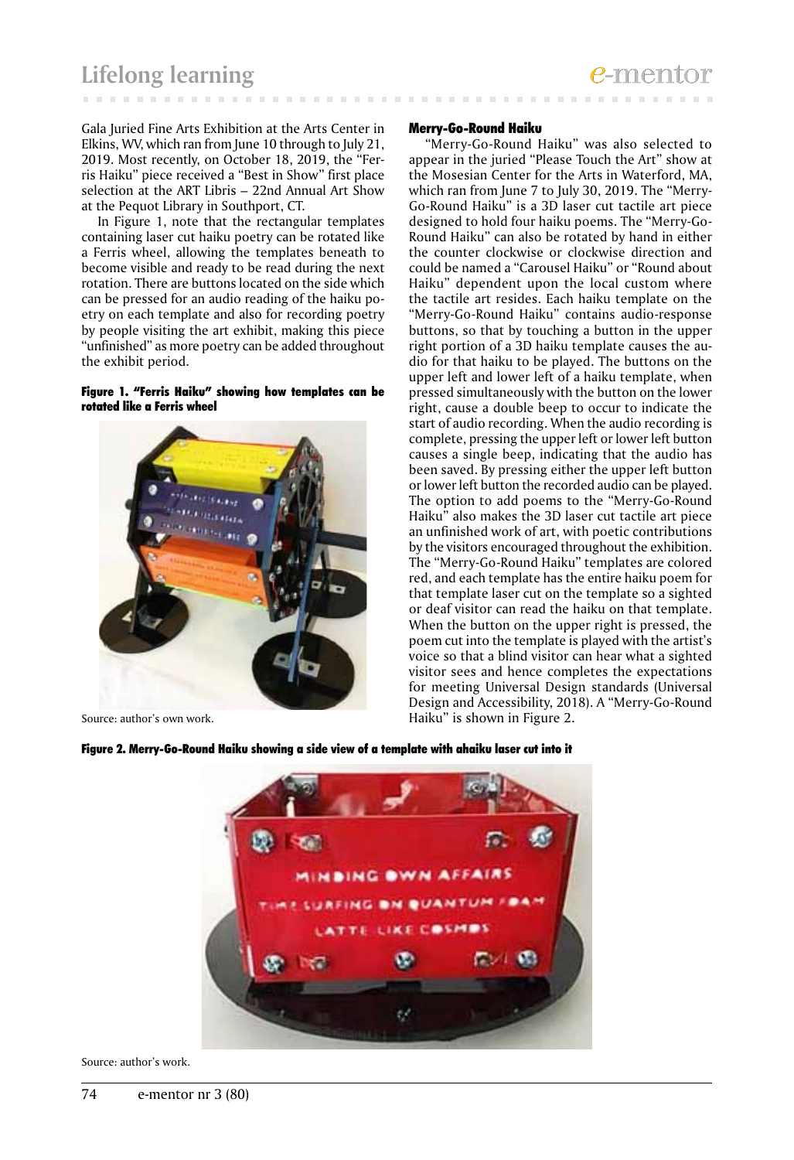Gala Juried Fine Arts Exhibition at the Arts Center in Elkins, WV, which ran from June 10 through to July 21, 2019. Most recently, on October 18, 2019, the "Ferris Haiku" piece received a "Best in Show" first place selection at the ART Libris – 22nd Annual Art Show at the Pequot Library in Southport, CT.

In Figure 1, note that the rectangular templates containing laser cut haiku poetry can be rotated like a Ferris wheel, allowing the templates beneath to become visible and ready to be read during the next rotation. There are buttons located on the side which can be pressed for an audio reading of the haiku poetry on each template and also for recording poetry by people visiting the art exhibit, making this piece "unfinished" as more poetry can be added throughout the exhibit period.

#### Figure 1. "Ferris Haiku" showing how templates can be rotated like a Ferris wheel



Source: author's own work.

#### Merry-Go-Round Haiku

"Merry-Go-Round Haiku" was also selected to appear in the juried "Please Touch the Art" show at the Mosesian Center for the Arts in Waterford, MA, which ran from June 7 to July 30, 2019. The "Merry-Go-Round Haiku" is a 3D laser cut tactile art piece designed to hold four haiku poems. The "Merry-Go-Round Haiku" can also be rotated by hand in either the counter clockwise or clockwise direction and could be named a "Carousel Haiku" or "Round about Haiku" dependent upon the local custom where the tactile art resides. Each haiku template on the "Merry-Go-Round Haiku" contains audio-response buttons, so that by touching a button in the upper right portion of a 3D haiku template causes the audio for that haiku to be played. The buttons on the upper left and lower left of a haiku template, when pressed simultaneously with the button on the lower right, cause a double beep to occur to indicate the start of audio recording. When the audio recording is complete, pressing the upper left or lower left button causes a single beep, indicating that the audio has been saved. By pressing either the upper left button or lower left button the recorded audio can be played. The option to add poems to the "Merry-Go-Round Haiku" also makes the 3D laser cut tactile art piece an unfinished work of art, with poetic contributions by the visitors encouraged throughout the exhibition. The "Merry-Go-Round Haiku" templates are colored red, and each template has the entire haiku poem for that template laser cut on the template so a sighted or deaf visitor can read the haiku on that template. When the button on the upper right is pressed, the poem cut into the template is played with the artist's voice so that a blind visitor can hear what a sighted visitor sees and hence completes the expectations for meeting Universal Design standards (Universal Design and Accessibility, 2018). A "Merry-Go-Round Haiku" is shown in Figure 2.





Source: author's work.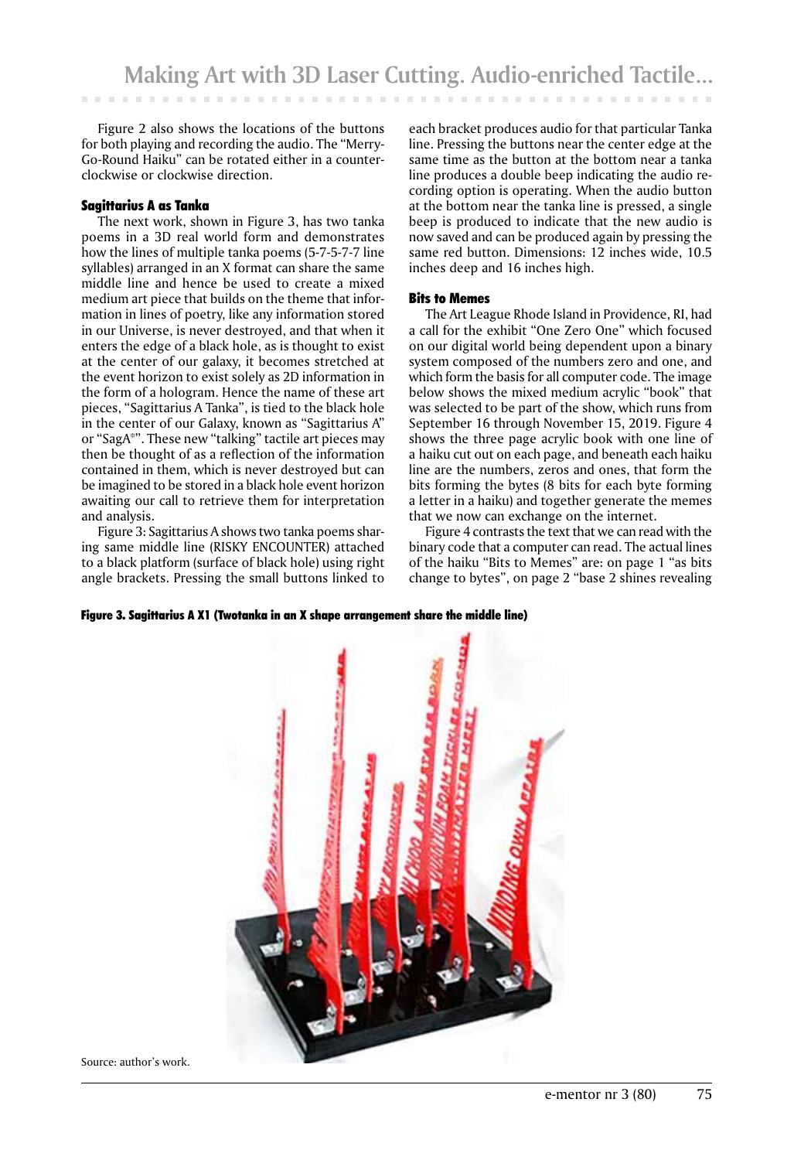Figure 2 also shows the locations of the buttons for both playing and recording the audio. The "Merry-Go-Round Haiku" can be rotated either in a counterclockwise or clockwise direction.

#### Sagittarius A as Tanka

The next work, shown in Figure 3, has two tanka poems in a 3D real world form and demonstrates how the lines of multiple tanka poems (5-7-5-7-7 line syllables) arranged in an X format can share the same middle line and hence be used to create a mixed medium art piece that builds on the theme that information in lines of poetry, like any information stored in our Universe, is never destroyed, and that when it enters the edge of a black hole, as is thought to exist at the center of our galaxy, it becomes stretched at the event horizon to exist solely as 2D information in the form of a hologram. Hence the name of these art pieces, "Sagittarius A Tanka", is tied to the black hole in the center of our Galaxy, known as "Sagittarius A" or "SagA\*". These new "talking" tactile art pieces may then be thought of as a reflection of the information contained in them, which is never destroyed but can be imagined to be stored in a black hole event horizon awaiting our call to retrieve them for interpretation and analysis.

Figure 3: Sagittarius A shows two tanka poems sharing same middle line (RISKY ENCOUNTER) attached to a black platform (surface of black hole) using right angle brackets. Pressing the small buttons linked to

each bracket produces audio for that particular Tanka line. Pressing the buttons near the center edge at the same time as the button at the bottom near a tanka line produces a double beep indicating the audio recording option is operating. When the audio button at the bottom near the tanka line is pressed, a single beep is produced to indicate that the new audio is now saved and can be produced again by pressing the same red button. Dimensions: 12 inches wide, 10.5 inches deep and 16 inches high.

#### Bits to Memes

The Art League Rhode Island in Providence, RI, had a call for the exhibit "One Zero One" which focused on our digital world being dependent upon a binary system composed of the numbers zero and one, and which form the basis for all computer code. The image below shows the mixed medium acrylic "book" that was selected to be part of the show, which runs from September 16 through November 15, 2019. Figure 4 shows the three page acrylic book with one line of a haiku cut out on each page, and beneath each haiku line are the numbers, zeros and ones, that form the bits forming the bytes (8 bits for each byte forming a letter in a haiku) and together generate the memes that we now can exchange on the internet.

Figure 4 contrasts the text that we can read with the binary code that a computer can read. The actual lines of the haiku "Bits to Memes" are: on page 1 "as bits change to bytes", on page 2 "base 2 shines revealing

Figure 3. Sagittarius A X1 (Twotanka in an X shape arrangement share the middle line)



Source: author's work.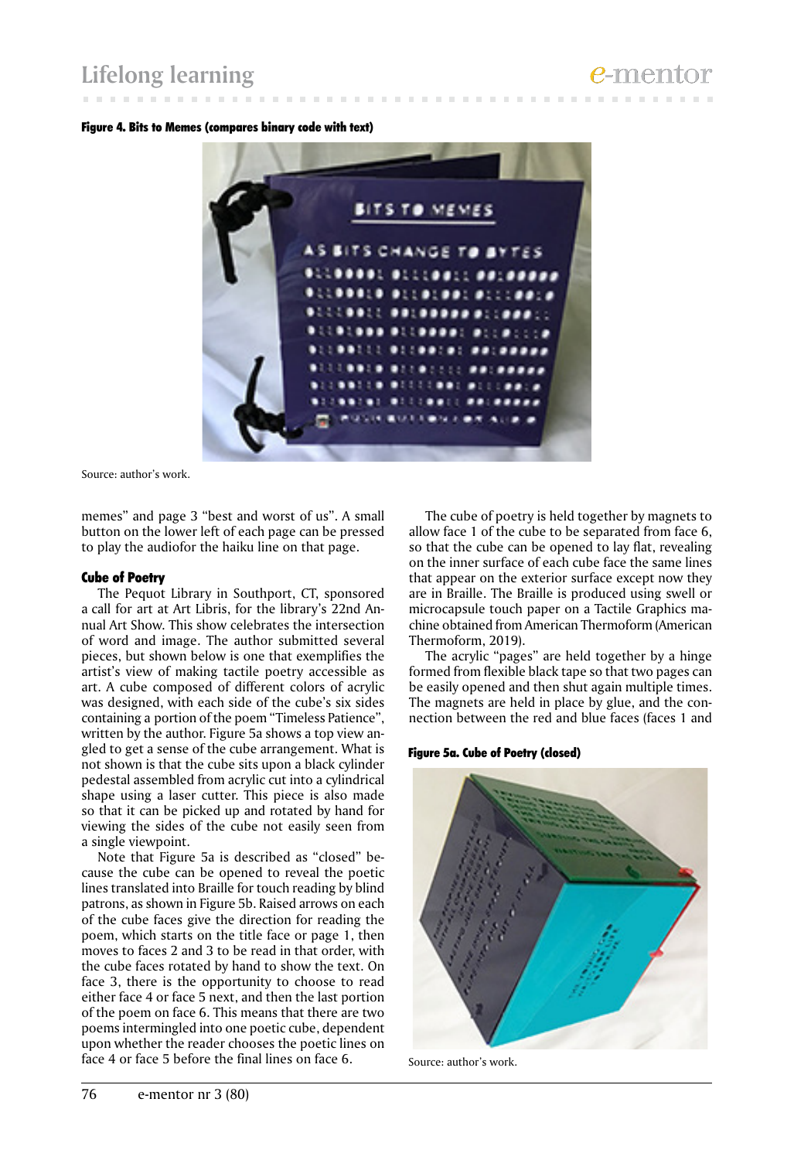# **Lifelong learning**

#### Figure 4. Bits to Memes (compares binary code with text)



Source: author's work.

memes" and page 3 "best and worst of us". A small button on the lower left of each page can be pressed to play the audiofor the haiku line on that page.

#### Cube of Poetry

The Pequot Library in Southport, CT, sponsored a call for art at Art Libris, for the library's 22nd Annual Art Show. This show celebrates the intersection of word and image. The author submitted several pieces, but shown below is one that exemplifies the artist's view of making tactile poetry accessible as art. A cube composed of different colors of acrylic was designed, with each side of the cube's six sides containing a portion of the poem "Timeless Patience", written by the author. Figure 5a shows a top view angled to get a sense of the cube arrangement. What is not shown is that the cube sits upon a black cylinder pedestal assembled from acrylic cut into a cylindrical shape using a laser cutter. This piece is also made so that it can be picked up and rotated by hand for viewing the sides of the cube not easily seen from a single viewpoint.

Note that Figure 5a is described as "closed" because the cube can be opened to reveal the poetic lines translated into Braille for touch reading by blind patrons, as shown in Figure 5b. Raised arrows on each of the cube faces give the direction for reading the poem, which starts on the title face or page 1, then moves to faces 2 and 3 to be read in that order, with the cube faces rotated by hand to show the text. On face 3, there is the opportunity to choose to read either face 4 or face 5 next, and then the last portion of the poem on face 6. This means that there are two poems intermingled into one poetic cube, dependent upon whether the reader chooses the poetic lines on face 4 or face 5 before the final lines on face 6.

The cube of poetry is held together by magnets to allow face 1 of the cube to be separated from face 6, so that the cube can be opened to lay flat, revealing on the inner surface of each cube face the same lines that appear on the exterior surface except now they are in Braille. The Braille is produced using swell or microcapsule touch paper on a Tactile Graphics machine obtained from American Thermoform (American Thermoform, 2019).

The acrylic "pages" are held together by a hinge formed from flexible black tape so that two pages can be easily opened and then shut again multiple times. The magnets are held in place by glue, and the connection between the red and blue faces (faces 1 and

#### Figure 5a. Cube of Poetry (closed)



Source: author's work.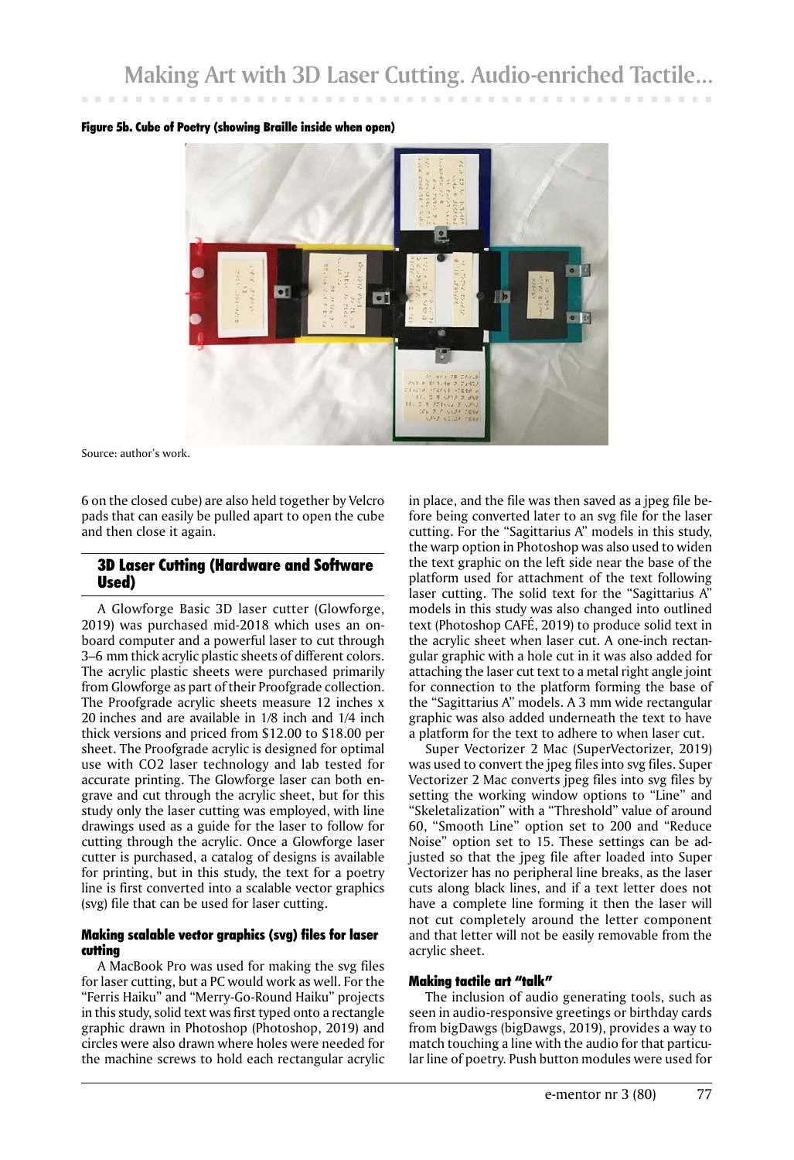

#### Figure 5b. Cube of Poetry (showing Braille inside when open)

Source: author's work.

6 on the closed cube) are also held together by Velcro pads that can easily be pulled apart to open the cube and then close it again.

# 3D Laser Cutting (Hardware and Software Used)

A Glowforge Basic 3D laser cutter (Glowforge, 2019) was purchased mid-2018 which uses an onboard computer and a powerful laser to cut through 3–6 mm thick acrylic plastic sheets of different colors. The acrylic plastic sheets were purchased primarily from Glowforge as part of their Proofgrade collection. The Proofgrade acrylic sheets measure 12 inches x 20 inches and are available in 1/8 inch and 1/4 inch thick versions and priced from \$12.00 to \$18.00 per sheet. The Proofgrade acrylic is designed for optimal use with CO2 laser technology and lab tested for accurate printing. The Glowforge laser can both engrave and cut through the acrylic sheet, but for this study only the laser cutting was employed, with line drawings used as a guide for the laser to follow for cutting through the acrylic. Once a Glowforge laser cutter is purchased, a catalog of designs is available for printing, but in this study, the text for a poetry line is first converted into a scalable vector graphics (svg) file that can be used for laser cutting.

### Making scalable vector graphics (svg) files for laser cutting

A MacBook Pro was used for making the svg files for laser cutting, but a PC would work as well. For the "Ferris Haiku" and "Merry-Go-Round Haiku" projects in this study, solid text was first typed onto a rectangle graphic drawn in Photoshop (Photoshop, 2019) and circles were also drawn where holes were needed for the machine screws to hold each rectangular acrylic

in place, and the file was then saved as a jpeg file before being converted later to an svg file for the laser cutting. For the "Sagittarius A" models in this study, the warp option in Photoshop was also used to widen the text graphic on the left side near the base of the platform used for attachment of the text following laser cutting. The solid text for the "Sagittarius A" models in this study was also changed into outlined text (Photoshop CAFÉ, 2019) to produce solid text in the acrylic sheet when laser cut. A one-inch rectangular graphic with a hole cut in it was also added for attaching the laser cut text to a metal right angle joint for connection to the platform forming the base of the "Sagittarius A" models. A 3 mm wide rectangular graphic was also added underneath the text to have a platform for the text to adhere to when laser cut.

Super Vectorizer 2 Mac (SuperVectorizer, 2019) was used to convert the jpeg files into svg files. Super Vectorizer 2 Mac converts jpeg files into svg files by setting the working window options to "Line" and "Skeletalization" with a "Threshold" value of around 60, "Smooth Line" option set to 200 and "Reduce Noise" option set to 15. These settings can be adjusted so that the jpeg file after loaded into Super Vectorizer has no peripheral line breaks, as the laser cuts along black lines, and if a text letter does not have a complete line forming it then the laser will not cut completely around the letter component and that letter will not be easily removable from the acrylic sheet.

#### Making tactile art "talk"

The inclusion of audio generating tools, such as seen in audio-responsive greetings or birthday cards from bigDawgs (bigDawgs, 2019), provides a way to match touching a line with the audio for that particular line of poetry. Push button modules were used for